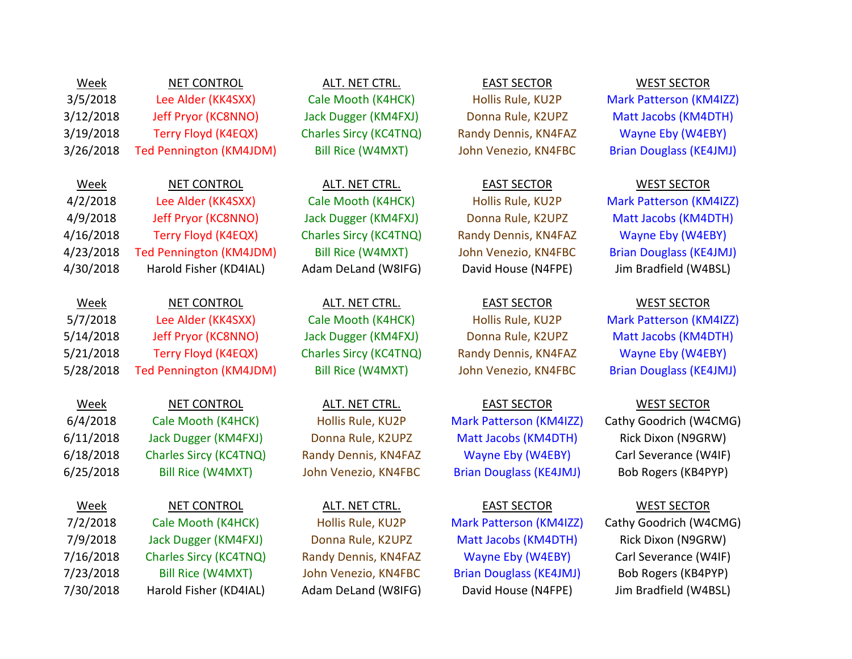3/5/2018 Lee Alder (KK4SXX) Cale Mooth (K4HCK) Hollis Rule, KU2P Mark Patterson (KM4IZZ) 3/12/2018 Jeff Pryor (KC8NNO) Jack Dugger (KM4FXJ) Donna Rule, K2UPZ Matt Jacobs (KM4DTH) 3/19/2018 Terry Floyd (K4EQX) Charles Sircy (KC4TNQ) Randy Dennis, KN4FAZ Wayne Eby (W4EBY) 3/26/2018 Ted Pennington (KM4JDM) Bill Rice (W4MXT) John Venezio, KN4FBC Brian Douglass (KE4JMJ)

4/2/2018 Lee Alder (KK4SXX) Cale Mooth (K4HCK) Hollis Rule, KU2P Mark Patterson (KM4IZZ) 4/9/2018 Jeff Pryor (KC8NNO) Jack Dugger (KM4FXJ) Donna Rule, K2UPZ Matt Jacobs (KM4DTH) 4/16/2018 Terry Floyd (K4EQX) Charles Sircy (KC4TNQ) Randy Dennis, KN4FAZ Wayne Eby (W4EBY) 4/23/2018 Ted Pennington (KM4JDM) Bill Rice (W4MXT) John Venezio, KN4FBC Brian Douglass (KE4JMJ) 4/30/2018 Harold Fisher (KD4IAL) Adam DeLand (W8IFG) David House (N4FPE) Jim Bradfield (W4BSL)

# Week NET CONTROL ALT. NET CTRL. EAST SECTOR WEST SECTOR

Week NET CONTROL ALT. NET CTRL. EAST SECTOR WEST SECTOR 7/2/2018 Cale Mooth (K4HCK) Hollis Rule, KU2P Mark Patterson (KM4IZZ) Cathy Goodrich (W4CMG)

# Week NET CONTROL ALT. NET CTRL. EAST SECTOR WEST SECTOR

Week NET CONTROL ALT. NET CTRL. EAST SECTOR WEST SECTOR

Week NET CONTROL ALT. NET CTRL. EAST SECTOR WEST SECTOR

6/4/2018 Cale Mooth (K4HCK) Hollis Rule, KU2P Mark Patterson (KM4IZZ) Cathy Goodrich (W4CMG) 6/11/2018 Jack Dugger (KM4FXJ) Donna Rule, K2UPZ Matt Jacobs (KM4DTH) Rick Dixon (N9GRW) 6/18/2018 Charles Sircy (KC4TNQ) Randy Dennis, KN4FAZ Wayne Eby (W4EBY) Carl Severance (W4IF) 6/25/2018 Bill Rice (W4MXT) John Venezio, KN4FBC Brian Douglass (KE4JMJ) Bob Rogers (KB4PYP)

7/9/2018 Jack Dugger (KM4FXJ) Donna Rule, K2UPZ Matt Jacobs (KM4DTH) Rick Dixon (N9GRW) 7/16/2018 Charles Sircy (KC4TNQ) Randy Dennis, KN4FAZ Wayne Eby (W4EBY) Carl Severance (W4IF) 7/23/2018 Bill Rice (W4MXT) John Venezio, KN4FBC Brian Douglass (KE4JMJ) Bob Rogers (KB4PYP) 7/30/2018 Harold Fisher (KD4IAL) Adam DeLand (W8IFG) David House (N4FPE) Jim Bradfield (W4BSL)

5/7/2018 Lee Alder (KK4SXX) Cale Mooth (K4HCK) Hollis Rule, KU2P Mark Patterson (KM4IZZ) 5/14/2018 Jeff Pryor (KC8NNO) Jack Dugger (KM4FXJ) Donna Rule, K2UPZ Matt Jacobs (KM4DTH) 5/21/2018 Terry Floyd (K4EQX) Charles Sircy (KC4TNQ) Randy Dennis, KN4FAZ Wayne Eby (W4EBY) 5/28/2018 Ted Pennington (KM4JDM) Bill Rice (W4MXT) John Venezio, KN4FBC Brian Douglass (KE4JMJ)